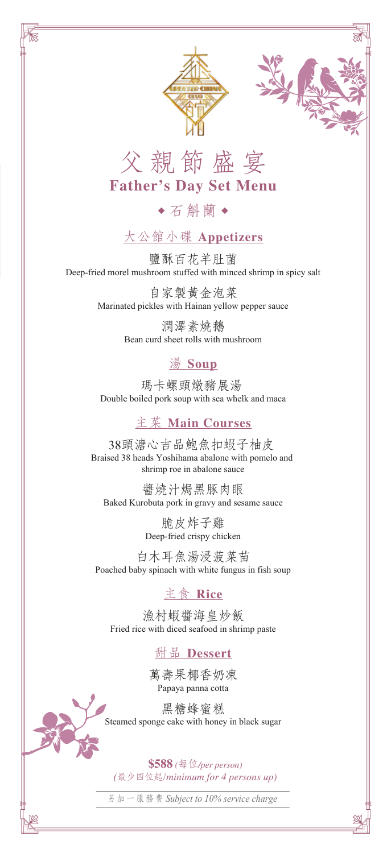





石斛蘭

# 大公館小碟 **Appetizers**

鹽酥百花羊肚菌 Deep-fried morel mushroom stuffed with minced shrimp in spicy salt

> 自家製黃金泡菜 Marinated pickles with Hainan yellow pepper sauce

> > 潤澤素燒鵝 Bean curd sheet rolls with mushroom

### 湯 **Soup**

瑪卡螺頭燉豬展湯 Double boiled pork soup with sea whelk and maca

#### 主菜 **Main Courses**

38頭溏心吉品鮑魚扣蝦子柚皮 Braised 38 heads Yoshihama abalone with pomelo and shrimp roe in abalone sauce

醬燒汁焗黑豚肉眼 Baked Kurobuta pork in gravy and sesame sauce

> 脆皮炸子雞 Deep-fried crispy chicken

白木耳魚湯浸菠菜苗 Poached baby spinach with white fungus in fish soup

### 主食 **Rice**

漁村蝦醬海皇炒飯 Fried rice with diced seafood in shrimp paste

### 甜品 **Dessert**

萬壽果椰香奶凍 Papaya panna cotta

黑糖蜂蜜糕 Steamed sponge cake with honey in black sugar

**\$588** *(*每位*/per person) (*最少四位起/*minimum for 4 persons up)*

另加一服務 費 *Subject to 10% service charge*